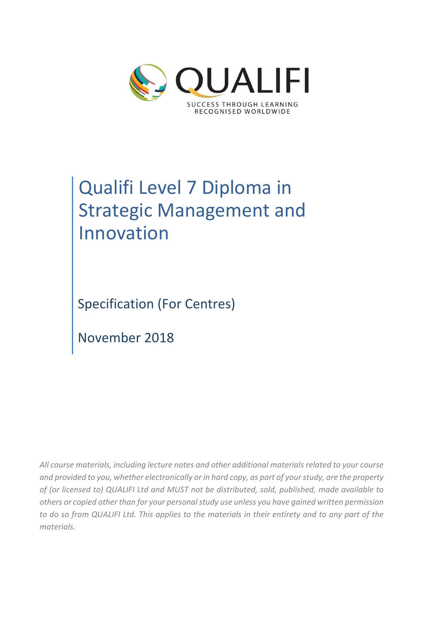

# Qualifi Level 7 Diploma in Strategic Management and Innovation

Specification (For Centres)

November 2018

*All course materials, including lecture notes and other additional materials related to your course and provided to you, whether electronically or in hard copy, as part of your study, are the property of (or licensed to) QUALIFI Ltd and MUST not be distributed, sold, published, made available to others or copied other than for your personal study use unless you have gained written permission to do so from QUALIFI Ltd. This applies to the materials in their entirety and to any part of the materials.*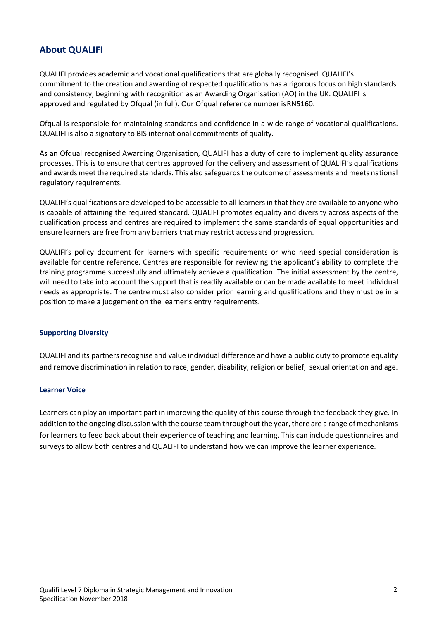# **About QUALIFI**

QUALIFI provides academic and vocational qualifications that are globally recognised. QUALIFI's commitment to the creation and awarding of respected qualifications has a rigorous focus on high standards and consistency, beginning with recognition as an Awarding Organisation (AO) in the UK. QUALIFI is approved and regulated by Ofqual (in full). Our Ofqual reference number isRN5160.

Ofqual is responsible for maintaining standards and confidence in a wide range of vocational qualifications. QUALIFI is also a signatory to BIS international commitments of quality.

As an Ofqual recognised Awarding Organisation, QUALIFI has a duty of care to implement quality assurance processes. This is to ensure that centres approved for the delivery and assessment of QUALIFI's qualifications and awards meet the required standards. This also safeguards the outcome of assessments and meets national regulatory requirements.

QUALIFI's qualifications are developed to be accessible to all learners in that they are available to anyone who is capable of attaining the required standard. QUALIFI promotes equality and diversity across aspects of the qualification process and centres are required to implement the same standards of equal opportunities and ensure learners are free from any barriers that may restrict access and progression.

QUALIFI's policy document for learners with specific requirements or who need special consideration is available for centre reference. Centres are responsible for reviewing the applicant's ability to complete the training programme successfully and ultimately achieve a qualification. The initial assessment by the centre, will need to take into account the support that is readily available or can be made available to meet individual needs as appropriate. The centre must also consider prior learning and qualifications and they must be in a position to make a judgement on the learner's entry requirements.

#### **Supporting Diversity**

QUALIFI and its partners recognise and value individual difference and have a public duty to promote equality and remove discrimination in relation to race, gender, disability, religion or belief, sexual orientation and age.

#### **Learner Voice**

Learners can play an important part in improving the quality of this course through the feedback they give. In addition to the ongoing discussion with the course team throughout the year, there are a range of mechanisms for learners to feed back about their experience of teaching and learning. This can include questionnaires and surveys to allow both centres and QUALIFI to understand how we can improve the learner experience.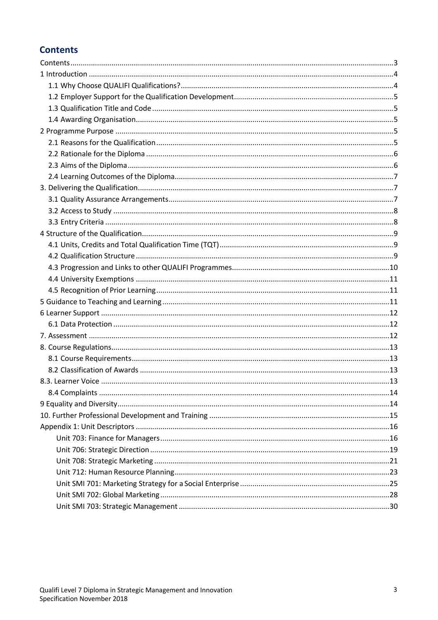# **Contents**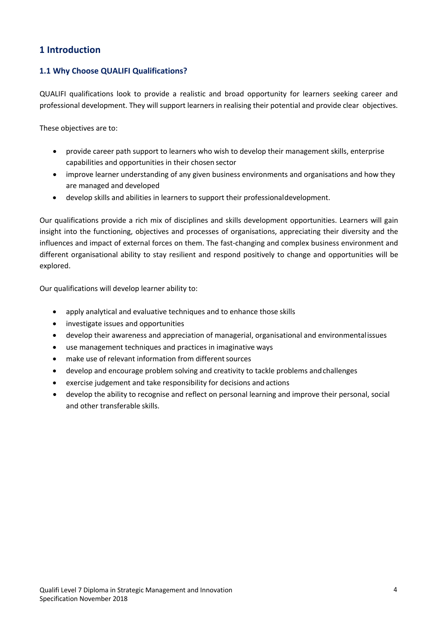# **1 Introduction**

# **1.1 Why Choose QUALIFI Qualifications?**

QUALIFI qualifications look to provide a realistic and broad opportunity for learners seeking career and professional development. They will support learners in realising their potential and provide clear objectives.

These objectives are to:

- provide career path support to learners who wish to develop their management skills, enterprise capabilities and opportunities in their chosen sector
- improve learner understanding of any given business environments and organisations and how they are managed and developed
- develop skills and abilities in learners to support their professionaldevelopment.

Our qualifications provide a rich mix of disciplines and skills development opportunities. Learners will gain insight into the functioning, objectives and processes of organisations, appreciating their diversity and the influences and impact of external forces on them. The fast-changing and complex business environment and different organisational ability to stay resilient and respond positively to change and opportunities will be explored.

Our qualifications will develop learner ability to:

- apply analytical and evaluative techniques and to enhance those skills
- investigate issues and opportunities
- develop their awareness and appreciation of managerial, organisational and environmentalissues
- use management techniques and practices in imaginative ways
- make use of relevant information from different sources
- develop and encourage problem solving and creativity to tackle problems andchallenges
- exercise judgement and take responsibility for decisions and actions
- develop the ability to recognise and reflect on personal learning and improve their personal, social and other transferable skills.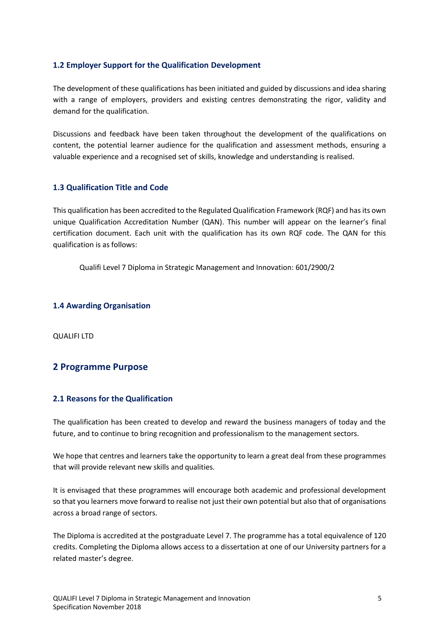# **1.2 Employer Support for the Qualification Development**

The development of these qualifications has been initiated and guided by discussions and idea sharing with a range of employers, providers and existing centres demonstrating the rigor, validity and demand for the qualification.

Discussions and feedback have been taken throughout the development of the qualifications on content, the potential learner audience for the qualification and assessment methods, ensuring a valuable experience and a recognised set of skills, knowledge and understanding is realised.

# **1.3 Qualification Title and Code**

This qualification has been accredited to the Regulated Qualification Framework (RQF) and has its own unique Qualification Accreditation Number (QAN). This number will appear on the learner's final certification document. Each unit with the qualification has its own RQF code. The QAN for this qualification is as follows:

Qualifi Level 7 Diploma in Strategic Management and Innovation: 601/2900/2

## **1.4 Awarding Organisation**

QUALIFI LTD

# **2 Programme Purpose**

# **2.1 Reasons for the Qualification**

The qualification has been created to develop and reward the business managers of today and the future, and to continue to bring recognition and professionalism to the management sectors.

We hope that centres and learners take the opportunity to learn a great deal from these programmes that will provide relevant new skills and qualities.

It is envisaged that these programmes will encourage both academic and professional development so that you learners move forward to realise not just their own potential but also that of organisations across a broad range of sectors.

The Diploma is accredited at the postgraduate Level 7. The programme has a total equivalence of 120 credits. Completing the Diploma allows access to a dissertation at one of our University partners for a related master's degree.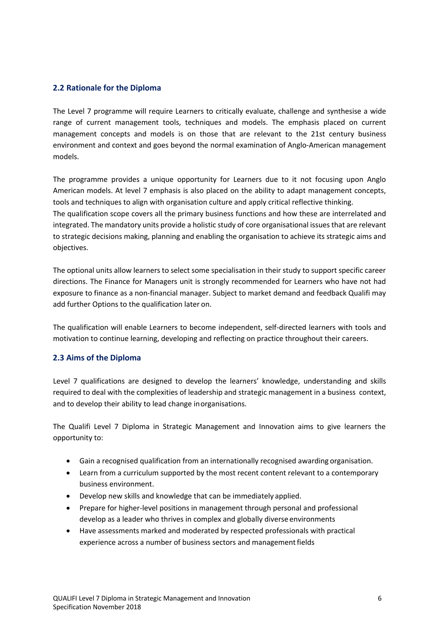# **2.2 Rationale for the Diploma**

The Level 7 programme will require Learners to critically evaluate, challenge and synthesise a wide range of current management tools, techniques and models. The emphasis placed on current management concepts and models is on those that are relevant to the 21st century business environment and context and goes beyond the normal examination of Anglo-American management models.

The programme provides a unique opportunity for Learners due to it not focusing upon Anglo American models. At level 7 emphasis is also placed on the ability to adapt management concepts, tools and techniques to align with organisation culture and apply critical reflective thinking.

The qualification scope covers all the primary business functions and how these are interrelated and integrated. The mandatory units provide a holistic study of core organisational issues that are relevant to strategic decisions making, planning and enabling the organisation to achieve its strategic aims and objectives.

The optional units allow learners to select some specialisation in their study to support specific career directions. The Finance for Managers unit is strongly recommended for Learners who have not had exposure to finance as a non-financial manager. Subject to market demand and feedback Qualifi may add further Options to the qualification later on.

The qualification will enable Learners to become independent, self-directed learners with tools and motivation to continue learning, developing and reflecting on practice throughout their careers.

# **2.3 Aims of the Diploma**

Level 7 qualifications are designed to develop the learners' knowledge, understanding and skills required to deal with the complexities of leadership and strategic management in a business context, and to develop their ability to lead change inorganisations.

The Qualifi Level 7 Diploma in Strategic Management and Innovation aims to give learners the opportunity to:

- Gain a recognised qualification from an internationally recognised awarding organisation.
- Learn from a curriculum supported by the most recent content relevant to a contemporary business environment.
- Develop new skills and knowledge that can be immediately applied.
- Prepare for higher-level positions in management through personal and professional develop as a leader who thrives in complex and globally diverse environments
- Have assessments marked and moderated by respected professionals with practical experience across a number of business sectors and management fields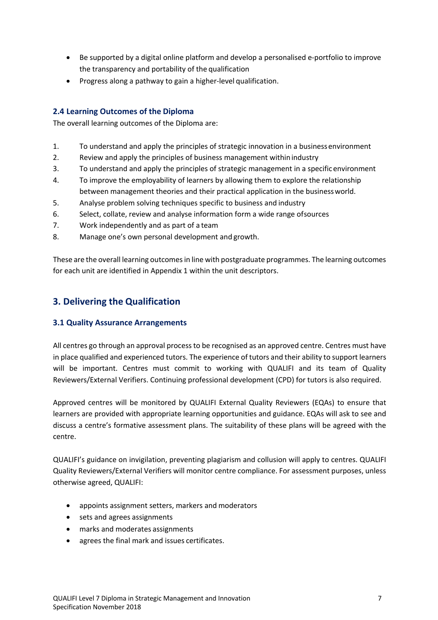- Be supported by a digital online platform and develop a personalised e-portfolio to improve the transparency and portability of the qualification
- Progress along a pathway to gain a higher-level qualification.

# **2.4 Learning Outcomes of the Diploma**

The overall learning outcomes of the Diploma are:

- 1. To understand and apply the principles of strategic innovation in a business environment
- 2. Review and apply the principles of business management withinindustry
- 3. To understand and apply the principles of strategic management in a specificenvironment
- 4. To improve the employability of learners by allowing them to explore the relationship between management theories and their practical application in the businessworld.
- 5. Analyse problem solving techniques specific to business and industry
- 6. Select, collate, review and analyse information form a wide range ofsources
- 7. Work independently and as part of a team
- 8. Manage one's own personal development and growth.

These are the overall learning outcomes in line with postgraduate programmes. The learning outcomes for each unit are identified in Appendix 1 within the unit descriptors.

# **3. Delivering the Qualification**

# **3.1 Quality Assurance Arrangements**

All centres go through an approval process to be recognised as an approved centre. Centres must have in place qualified and experienced tutors. The experience of tutors and their ability to support learners will be important. Centres must commit to working with QUALIFI and its team of Quality Reviewers/External Verifiers. Continuing professional development (CPD) for tutors is also required.

Approved centres will be monitored by QUALIFI External Quality Reviewers (EQAs) to ensure that learners are provided with appropriate learning opportunities and guidance. EQAs will ask to see and discuss a centre's formative assessment plans. The suitability of these plans will be agreed with the centre.

QUALIFI's guidance on invigilation, preventing plagiarism and collusion will apply to centres. QUALIFI Quality Reviewers/External Verifiers will monitor centre compliance. For assessment purposes, unless otherwise agreed, QUALIFI:

- appoints assignment setters, markers and moderators
- sets and agrees assignments
- marks and moderates assignments
- agrees the final mark and issues certificates.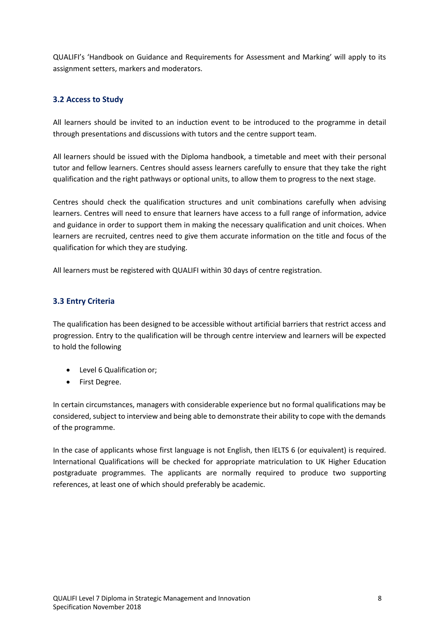QUALIFI's 'Handbook on Guidance and Requirements for Assessment and Marking' will apply to its assignment setters, markers and moderators.

# **3.2 Access to Study**

All learners should be invited to an induction event to be introduced to the programme in detail through presentations and discussions with tutors and the centre support team.

All learners should be issued with the Diploma handbook, a timetable and meet with their personal tutor and fellow learners. Centres should assess learners carefully to ensure that they take the right qualification and the right pathways or optional units, to allow them to progress to the next stage.

Centres should check the qualification structures and unit combinations carefully when advising learners. Centres will need to ensure that learners have access to a full range of information, advice and guidance in order to support them in making the necessary qualification and unit choices. When learners are recruited, centres need to give them accurate information on the title and focus of the qualification for which they are studying.

All learners must be registered with QUALIFI within 30 days of centre registration.

# **3.3 Entry Criteria**

The qualification has been designed to be accessible without artificial barriers that restrict access and progression. Entry to the qualification will be through centre interview and learners will be expected to hold the following

- Level 6 Qualification or;
- First Degree.

In certain circumstances, managers with considerable experience but no formal qualifications may be considered, subject to interview and being able to demonstrate their ability to cope with the demands of the programme.

In the case of applicants whose first language is not English, then IELTS 6 (or equivalent) is required. International Qualifications will be checked for appropriate matriculation to UK Higher Education postgraduate programmes. The applicants are normally required to produce two supporting references, at least one of which should preferably be academic.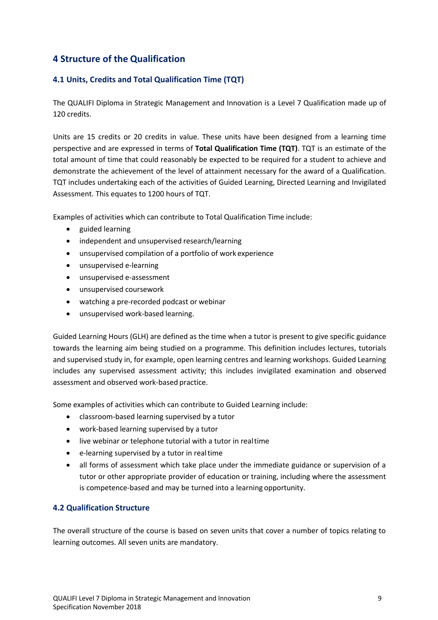# **4 Structure of the Qualification**

# **4.1 Units, Credits and Total Qualification Time (TQT)**

The QUALIFI Diploma in Strategic Management and Innovation is a Level 7 Qualification made up of 120 credits.

Units are 15 credits or 20 credits in value. These units have been designed from a learning time perspective and are expressed in terms of **Total Qualification Time (TQT)**. TQT is an estimate of the total amount of time that could reasonably be expected to be required for a student to achieve and demonstrate the achievement of the level of attainment necessary for the award of a Qualification. TQT includes undertaking each of the activities of Guided Learning, Directed Learning and Invigilated Assessment. This equates to 1200 hours of TQT.

Examples of activities which can contribute to Total Qualification Time include:

- guided learning
- independent and unsupervised research/learning
- unsupervised compilation of a portfolio of work experience
- unsupervised e-learning
- unsupervised e-assessment
- unsupervised coursework
- watching a pre-recorded podcast or webinar
- unsupervised work-based learning.

Guided Learning Hours (GLH) are defined as the time when a tutor is present to give specific guidance towards the learning aim being studied on a programme. This definition includes lectures, tutorials and supervised study in, for example, open learning centres and learning workshops. Guided Learning includes any supervised assessment activity; this includes invigilated examination and observed assessment and observed work-based practice.

Some examples of activities which can contribute to Guided Learning include:

- classroom-based learning supervised by a tutor
- work-based learning supervised by a tutor
- live webinar or telephone tutorial with a tutor in realtime
- e-learning supervised by a tutor in realtime
- all forms of assessment which take place under the immediate guidance or supervision of a tutor or other appropriate provider of education or training, including where the assessment is competence-based and may be turned into a learning opportunity.

# **4.2 Qualification Structure**

The overall structure of the course is based on seven units that cover a number of topics relating to learning outcomes. All seven units are mandatory.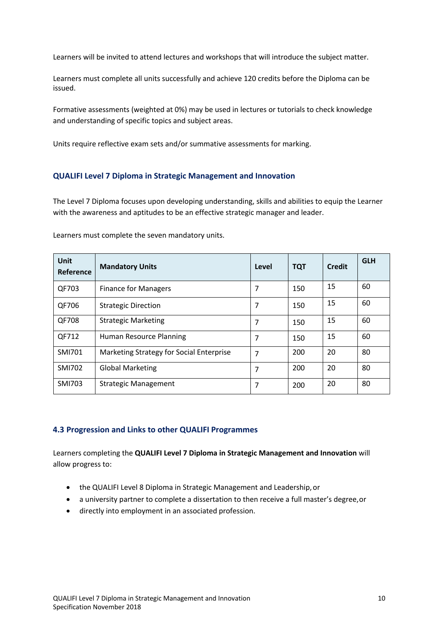Learners will be invited to attend lectures and workshops that will introduce the subject matter.

Learners must complete all units successfully and achieve 120 credits before the Diploma can be issued.

Formative assessments (weighted at 0%) may be used in lectures or tutorials to check knowledge and understanding of specific topics and subject areas.

Units require reflective exam sets and/or summative assessments for marking.

# **QUALIFI Level 7 Diploma in Strategic Management and Innovation**

The Level 7 Diploma focuses upon developing understanding, skills and abilities to equip the Learner with the awareness and aptitudes to be an effective strategic manager and leader.

| Unit<br>Reference | <b>Mandatory Units</b>                   | Level | <b>TQT</b> | <b>Credit</b> | <b>GLH</b> |
|-------------------|------------------------------------------|-------|------------|---------------|------------|
| QF703             | <b>Finance for Managers</b>              | 7     | 150        | 15            | 60         |
| QF706             | <b>Strategic Direction</b>               | 7     | 150        | 15            | 60         |
| QF708             | <b>Strategic Marketing</b>               | 7     | 150        | 15            | 60         |
| QF712             | Human Resource Planning                  | 7     | 150        | 15            | 60         |
| SMI701            | Marketing Strategy for Social Enterprise | 7     | 200        | 20            | 80         |
| <b>SMI702</b>     | <b>Global Marketing</b>                  | 7     | 200        | 20            | 80         |
| <b>SMI703</b>     | <b>Strategic Management</b>              | 7     | 200        | 20            | 80         |

Learners must complete the seven mandatory units.

# **4.3 Progression and Links to other QUALIFI Programmes**

Learners completing the **QUALIFI Level 7 Diploma in Strategic Management and Innovation** will allow progress to:

- the QUALIFI Level 8 Diploma in Strategic Management and Leadership,or
- a university partner to complete a dissertation to then receive a full master's degree,or
- directly into employment in an associated profession.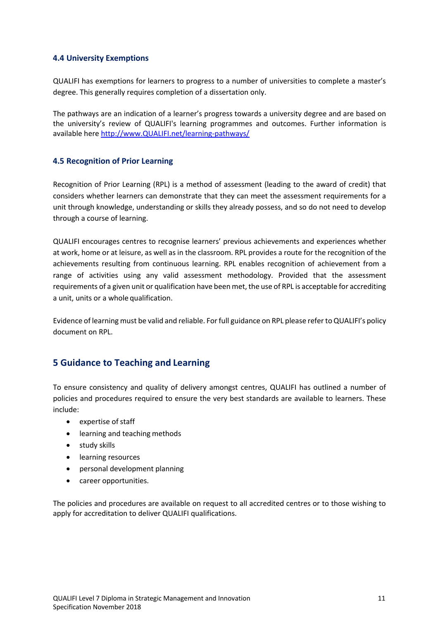## **4.4 University Exemptions**

QUALIFI has exemptions for learners to progress to a number of universities to complete a master's degree. This generally requires completion of a dissertation only.

The pathways are an indication of a learner's progress towards a university degree and are based on the university's review of QUALIFI's learning programmes and outcomes. Further information is available here http://www.QUALIFI.net/learning-pathways/

# **4.5 Recognition of Prior Learning**

Recognition of Prior Learning (RPL) is a method of assessment (leading to the award of credit) that considers whether learners can demonstrate that they can meet the assessment requirements for a unit through knowledge, understanding or skills they already possess, and so do not need to develop through a course of learning.

QUALIFI encourages centres to recognise learners' previous achievements and experiences whether at work, home or at leisure, as well as in the classroom. RPL provides a route for the recognition of the achievements resulting from continuous learning. RPL enables recognition of achievement from a range of activities using any valid assessment methodology. Provided that the assessment requirements of a given unit or qualification have been met, the use of RPL is acceptable for accrediting a unit, units or a whole qualification.

Evidence of learning must be valid and reliable. For full guidance on RPL please refer to QUALIFI's policy document on RPL.

# **5 Guidance to Teaching and Learning**

To ensure consistency and quality of delivery amongst centres, QUALIFI has outlined a number of policies and procedures required to ensure the very best standards are available to learners. These include:

- expertise of staff
- learning and teaching methods
- study skills
- learning resources
- personal development planning
- career opportunities.

The policies and procedures are available on request to all accredited centres or to those wishing to apply for accreditation to deliver QUALIFI qualifications.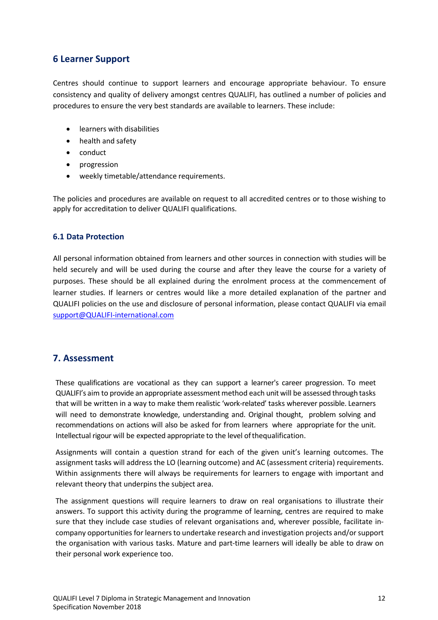# **6 Learner Support**

Centres should continue to support learners and encourage appropriate behaviour. To ensure consistency and quality of delivery amongst centres QUALIFI, has outlined a number of policies and procedures to ensure the very best standards are available to learners. These include:

- learners with disabilities
- health and safety
- conduct
- progression
- weekly timetable/attendance requirements.

The policies and procedures are available on request to all accredited centres or to those wishing to apply for accreditation to deliver QUALIFI qualifications.

## **6.1 Data Protection**

All personal information obtained from learners and other sources in connection with studies will be held securely and will be used during the course and after they leave the course for a variety of purposes. These should be all explained during the enrolment process at the commencement of learner studies. If learners or centres would like a more detailed explanation of the partner and QUALIFI policies on the use and disclosure of personal information, please contact QUALIFI via email support@QUALIFI-international.com

# **7. Assessment**

These qualifications are vocational as they can support a learner's career progression. To meet QUALIFI's aim to provide an appropriate assessment method each unit will be assessed through tasks that will be written in a way to make them realistic 'work-related' tasks wherever possible. Learners will need to demonstrate knowledge, understanding and. Original thought, problem solving and recommendations on actions will also be asked for from learners where appropriate for the unit. Intellectual rigour will be expected appropriate to the level ofthequalification.

Assignments will contain a question strand for each of the given unit's learning outcomes. The assignment tasks will address the LO (learning outcome) and AC (assessment criteria) requirements. Within assignments there will always be requirements for learners to engage with important and relevant theory that underpins the subject area.

The assignment questions will require learners to draw on real organisations to illustrate their answers. To support this activity during the programme of learning, centres are required to make sure that they include case studies of relevant organisations and, wherever possible, facilitate incompany opportunities for learners to undertake research and investigation projects and/or support the organisation with various tasks. Mature and part-time learners will ideally be able to draw on their personal work experience too.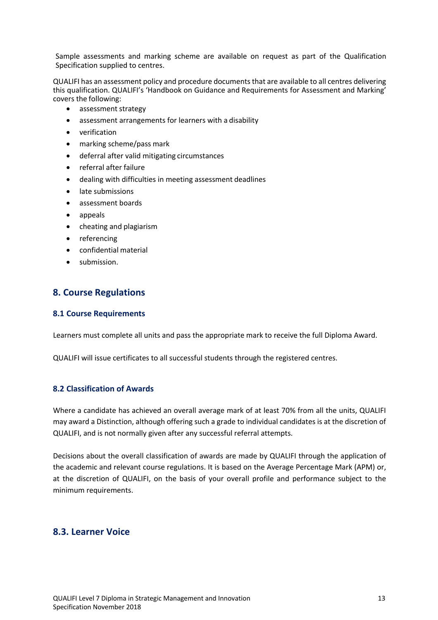Sample assessments and marking scheme are available on request as part of the Qualification Specification supplied to centres.

QUALIFI has an assessment policy and procedure documents that are available to all centres delivering this qualification. QUALIFI's 'Handbook on Guidance and Requirements for Assessment and Marking' covers the following:

- assessment strategy
- assessment arrangements for learners with a disability
- verification
- marking scheme/pass mark
- deferral after valid mitigating circumstances
- referral after failure
- dealing with difficulties in meeting assessment deadlines
- late submissions
- assessment boards
- appeals
- cheating and plagiarism
- referencing
- confidential material
- submission.

# **8. Course Regulations**

#### **8.1 Course Requirements**

Learners must complete all units and pass the appropriate mark to receive the full Diploma Award.

QUALIFI will issue certificates to all successful students through the registered centres.

# **8.2 Classification of Awards**

Where a candidate has achieved an overall average mark of at least 70% from all the units, QUALIFI may award a Distinction, although offering such a grade to individual candidates is at the discretion of QUALIFI, and is not normally given after any successful referral attempts.

Decisions about the overall classification of awards are made by QUALIFI through the application of the academic and relevant course regulations. It is based on the Average Percentage Mark (APM) or, at the discretion of QUALIFI, on the basis of your overall profile and performance subject to the minimum requirements.

# **8.3. Learner Voice**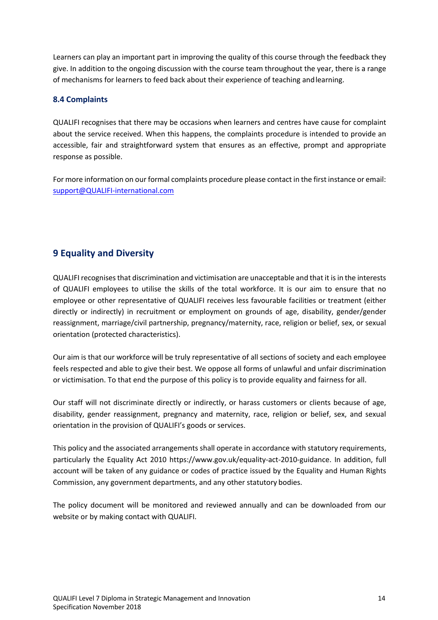Learners can play an important part in improving the quality of this course through the feedback they give. In addition to the ongoing discussion with the course team throughout the year, there is a range of mechanisms for learners to feed back about their experience of teaching andlearning.

# **8.4 Complaints**

QUALIFI recognises that there may be occasions when learners and centres have cause for complaint about the service received. When this happens, the complaints procedure is intended to provide an accessible, fair and straightforward system that ensures as an effective, prompt and appropriate response as possible.

For more information on our formal complaints procedure please contact in the first instance or email: support@QUALIFI-international.com

# **9 Equality and Diversity**

QUALIFI recognises that discrimination and victimisation are unacceptable and that it is in the interests of QUALIFI employees to utilise the skills of the total workforce. It is our aim to ensure that no employee or other representative of QUALIFI receives less favourable facilities or treatment (either directly or indirectly) in recruitment or employment on grounds of age, disability, gender/gender reassignment, marriage/civil partnership, pregnancy/maternity, race, religion or belief, sex, or sexual orientation (protected characteristics).

Our aim is that our workforce will be truly representative of all sections of society and each employee feels respected and able to give their best. We oppose all forms of unlawful and unfair discrimination or victimisation. To that end the purpose of this policy is to provide equality and fairness for all.

Our staff will not discriminate directly or indirectly, or harass customers or clients because of age, disability, gender reassignment, pregnancy and maternity, race, religion or belief, sex, and sexual orientation in the provision of QUALIFI's goods or services.

This policy and the associated arrangements shall operate in accordance with statutory requirements, particularly the Equality Act 2010 https://www.gov.uk/equality-act-2010-guidance. In addition, full account will be taken of any guidance or codes of practice issued by the Equality and Human Rights Commission, any government departments, and any other statutory bodies.

The policy document will be monitored and reviewed annually and can be downloaded from our website or by making contact with QUALIFI.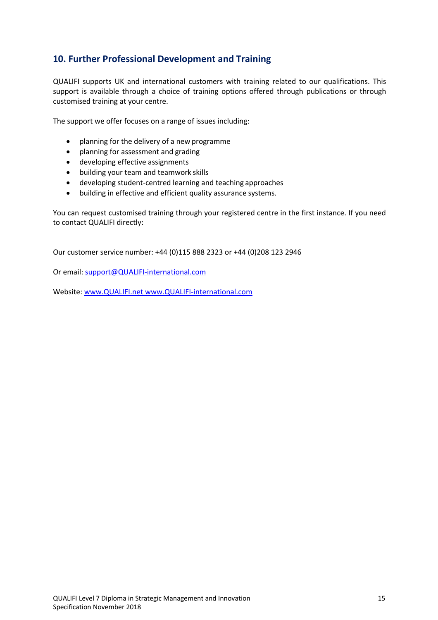# **10. Further Professional Development and Training**

QUALIFI supports UK and international customers with training related to our qualifications. This support is available through a choice of training options offered through publications or through customised training at your centre.

The support we offer focuses on a range of issues including:

- planning for the delivery of a new programme
- planning for assessment and grading
- developing effective assignments
- building your team and teamwork skills
- developing student-centred learning and teaching approaches
- building in effective and efficient quality assurance systems.

You can request customised training through your registered centre in the first instance. If you need to contact QUALIFI directly:

Our customer service number: +44 (0)115 888 2323 or +44 (0)208 123 2946

Or email: support@QUALIFI-international.com

Website: www.QUALIFI.net www.QUALIFI-international.com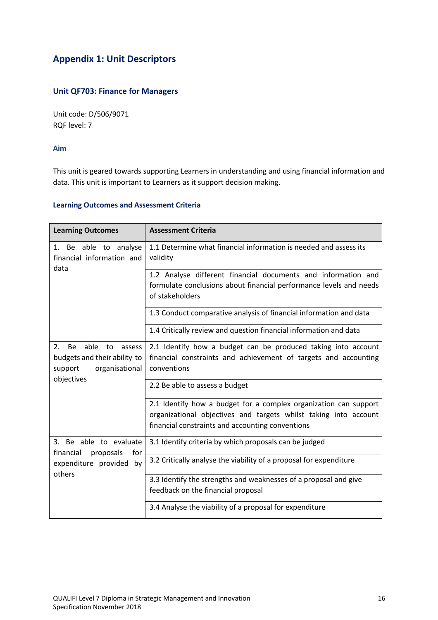# **Appendix 1: Unit Descriptors**

# **Unit QF703: Finance for Managers**

Unit code: D/506/9071 RQF level: 7

**Aim**

This unit is geared towards supporting Learners in understanding and using financial information and data. This unit is important to Learners as it support decision making.

#### **Learning Outcomes and Assessment Criteria**

| <b>Learning Outcomes</b>                                                                                           | <b>Assessment Criteria</b>                                                                                                                                                               |  |  |
|--------------------------------------------------------------------------------------------------------------------|------------------------------------------------------------------------------------------------------------------------------------------------------------------------------------------|--|--|
| 1. Be able to analyse<br>financial information and<br>data                                                         | 1.1 Determine what financial information is needed and assess its<br>validity                                                                                                            |  |  |
|                                                                                                                    | 1.2 Analyse different financial documents and information and<br>formulate conclusions about financial performance levels and needs<br>of stakeholders                                   |  |  |
|                                                                                                                    | 1.3 Conduct comparative analysis of financial information and data                                                                                                                       |  |  |
|                                                                                                                    | 1.4 Critically review and question financial information and data                                                                                                                        |  |  |
| 2.<br><b>Be</b><br>able<br>to<br>assess<br>budgets and their ability to<br>organisational<br>support<br>objectives | 2.1 Identify how a budget can be produced taking into account<br>financial constraints and achievement of targets and accounting<br>conventions                                          |  |  |
|                                                                                                                    | 2.2 Be able to assess a budget                                                                                                                                                           |  |  |
|                                                                                                                    | 2.1 Identify how a budget for a complex organization can support<br>organizational objectives and targets whilst taking into account<br>financial constraints and accounting conventions |  |  |
| 3. Be able to evaluate<br>financial<br>proposals<br>for<br>expenditure provided by<br>others                       | 3.1 Identify criteria by which proposals can be judged                                                                                                                                   |  |  |
|                                                                                                                    | 3.2 Critically analyse the viability of a proposal for expenditure                                                                                                                       |  |  |
|                                                                                                                    | 3.3 Identify the strengths and weaknesses of a proposal and give                                                                                                                         |  |  |
|                                                                                                                    | feedback on the financial proposal                                                                                                                                                       |  |  |
|                                                                                                                    | 3.4 Analyse the viability of a proposal for expenditure                                                                                                                                  |  |  |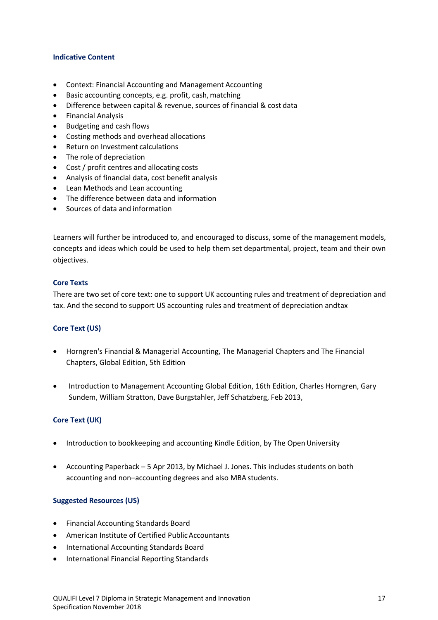#### **Indicative Content**

- Context: Financial Accounting and Management Accounting
- Basic accounting concepts, e.g. profit, cash, matching
- Difference between capital & revenue, sources of financial & cost data
- Financial Analysis
- Budgeting and cash flows
- Costing methods and overhead allocations
- Return on Investment calculations
- The role of depreciation
- Cost / profit centres and allocating costs
- Analysis of financial data, cost benefit analysis
- Lean Methods and Lean accounting
- The difference between data and information
- Sources of data and information

Learners will further be introduced to, and encouraged to discuss, some of the management models, concepts and ideas which could be used to help them set departmental, project, team and their own objectives.

## **Core Texts**

There are two set of core text: one to support UK accounting rules and treatment of depreciation and tax. And the second to support US accounting rules and treatment of depreciation andtax

# **Core Text (US)**

- Horngren's Financial & Managerial Accounting, The Managerial Chapters and The Financial Chapters, Global Edition, 5th Edition
- Introduction to Management Accounting Global Edition, 16th Edition, Charles Horngren, Gary Sundem, William Stratton, Dave Burgstahler, Jeff Schatzberg, Feb 2013,

# **Core Text (UK)**

- Introduction to bookkeeping and accounting Kindle Edition, by The Open University
- Accounting Paperback 5 Apr 2013, by Michael J. Jones. This includes students on both accounting and non–accounting degrees and also MBA students.

#### **Suggested Resources (US)**

- Financial Accounting Standards Board
- American Institute of Certified PublicAccountants
- International Accounting Standards Board
- International Financial Reporting Standards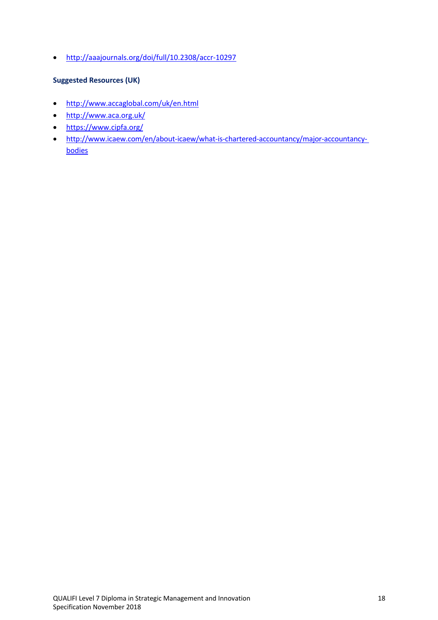• http://aaajournals.org/doi/full/10.2308/accr-10297

# **Suggested Resources (UK)**

- http://www.accaglobal.com/uk/en.html
- http://www.aca.org.uk/
- https://www.cipfa.org/
- http://www.icaew.com/en/about-icaew/what-is-chartered-accountancy/major-accountancybodies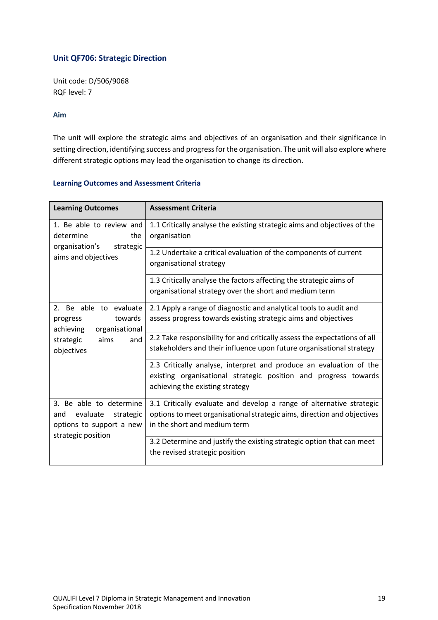# **Unit QF706: Strategic Direction**

Unit code: D/506/9068 RQF level: 7

## **Aim**

The unit will explore the strategic aims and objectives of an organisation and their significance in setting direction, identifying success and progress for the organisation. The unit will also explore where different strategic options may lead the organisation to change its direction.

| <b>Learning Outcomes</b>                                                                                               | <b>Assessment Criteria</b>                                                                                                                                                      |
|------------------------------------------------------------------------------------------------------------------------|---------------------------------------------------------------------------------------------------------------------------------------------------------------------------------|
| 1. Be able to review and<br>determine<br>the<br>organisation's<br>strategic<br>aims and objectives                     | 1.1 Critically analyse the existing strategic aims and objectives of the<br>organisation                                                                                        |
|                                                                                                                        | 1.2 Undertake a critical evaluation of the components of current<br>organisational strategy                                                                                     |
|                                                                                                                        | 1.3 Critically analyse the factors affecting the strategic aims of<br>organisational strategy over the short and medium term                                                    |
| 2. Be able to evaluate<br>towards<br>progress<br>organisational<br>achieving<br>strategic<br>aims<br>and<br>objectives | 2.1 Apply a range of diagnostic and analytical tools to audit and<br>assess progress towards existing strategic aims and objectives                                             |
|                                                                                                                        | 2.2 Take responsibility for and critically assess the expectations of all<br>stakeholders and their influence upon future organisational strategy                               |
|                                                                                                                        | 2.3 Critically analyse, interpret and produce an evaluation of the<br>existing organisational strategic position and progress towards<br>achieving the existing strategy        |
| 3. Be able to determine<br>evaluate<br>strategic<br>and<br>options to support a new<br>strategic position              | 3.1 Critically evaluate and develop a range of alternative strategic<br>options to meet organisational strategic aims, direction and objectives<br>in the short and medium term |
|                                                                                                                        | 3.2 Determine and justify the existing strategic option that can meet<br>the revised strategic position                                                                         |

## **Learning Outcomes and Assessment Criteria**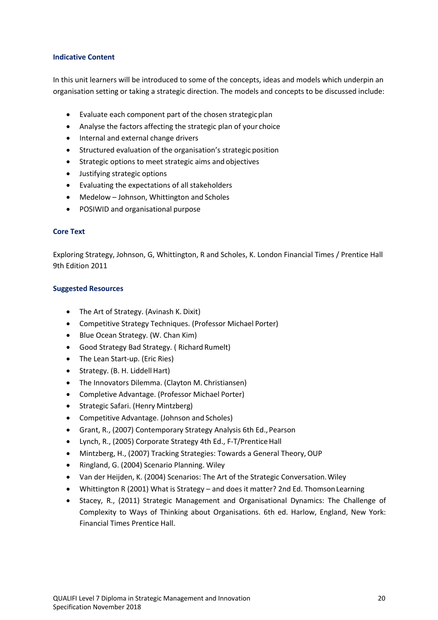## **Indicative Content**

In this unit learners will be introduced to some of the concepts, ideas and models which underpin an organisation setting or taking a strategic direction. The models and concepts to be discussed include:

- Evaluate each component part of the chosen strategicplan
- Analyse the factors affecting the strategic plan of your choice
- Internal and external change drivers
- Structured evaluation of the organisation's strategic position
- Strategic options to meet strategic aims and objectives
- Justifying strategic options
- Evaluating the expectations of all stakeholders
- Medelow Johnson, Whittington and Scholes
- POSIWID and organisational purpose

## **Core Text**

Exploring Strategy, Johnson, G, Whittington, R and Scholes, K. London Financial Times / Prentice Hall 9th Edition 2011

## **Suggested Resources**

- The Art of Strategy. (Avinash K. Dixit)
- Competitive Strategy Techniques. (Professor Michael Porter)
- Blue Ocean Strategy. (W. Chan Kim)
- Good Strategy Bad Strategy. ( Richard Rumelt)
- The Lean Start-up. (Eric Ries)
- $\bullet$  Strategy. (B. H. Liddell Hart)
- The Innovators Dilemma. (Clayton M. Christiansen)
- Completive Advantage. (Professor Michael Porter)
- Strategic Safari. (Henry Mintzberg)
- Competitive Advantage. (Johnson and Scholes)
- Grant, R., (2007) Contemporary Strategy Analysis 6th Ed., Pearson
- Lynch, R., (2005) Corporate Strategy 4th Ed., F-T/Prentice Hall
- Mintzberg, H., (2007) Tracking Strategies: Towards a General Theory, OUP
- Ringland, G. (2004) Scenario Planning. Wiley
- Van der Heijden, K. (2004) Scenarios: The Art of the Strategic Conversation.Wiley
- Whittington R (2001) What is Strategy and does it matter? 2nd Ed. Thomson Learning
- Stacey, R., (2011) Strategic Management and Organisational Dynamics: The Challenge of Complexity to Ways of Thinking about Organisations. 6th ed. Harlow, England, New York: Financial Times Prentice Hall.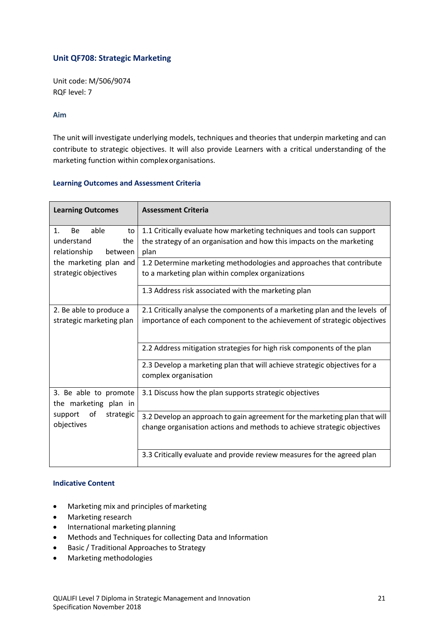# **Unit QF708: Strategic Marketing**

Unit code: M/506/9074 RQF level: 7

#### **Aim**

The unit will investigate underlying models, techniques and theories that underpin marketing and can contribute to strategic objectives. It will also provide Learners with a critical understanding of the marketing function within complexorganisations.

| <b>Learning Outcomes</b>                       | <b>Assessment Criteria</b>                                                                        |
|------------------------------------------------|---------------------------------------------------------------------------------------------------|
| 1.<br>Be<br>able<br>to                         | 1.1 Critically evaluate how marketing techniques and tools can support                            |
| understand<br>the<br>relationship<br>between   | the strategy of an organisation and how this impacts on the marketing<br>plan                     |
| the marketing plan and                         | 1.2 Determine marketing methodologies and approaches that contribute                              |
| strategic objectives                           | to a marketing plan within complex organizations                                                  |
|                                                | 1.3 Address risk associated with the marketing plan                                               |
| 2. Be able to produce a                        | 2.1 Critically analyse the components of a marketing plan and the levels of                       |
| strategic marketing plan                       | importance of each component to the achievement of strategic objectives                           |
|                                                | 2.2 Address mitigation strategies for high risk components of the plan                            |
|                                                | 2.3 Develop a marketing plan that will achieve strategic objectives for a<br>complex organisation |
| 3. Be able to promote<br>the marketing plan in | 3.1 Discuss how the plan supports strategic objectives                                            |
| οf<br>strategic<br>support                     | 3.2 Develop an approach to gain agreement for the marketing plan that will                        |
| objectives                                     | change organisation actions and methods to achieve strategic objectives                           |
|                                                | 3.3 Critically evaluate and provide review measures for the agreed plan                           |

## **Learning Outcomes and Assessment Criteria**

## **Indicative Content**

- Marketing mix and principles of marketing
- Marketing research
- International marketing planning
- Methods and Techniques for collecting Data and Information
- Basic / Traditional Approaches to Strategy
- Marketing methodologies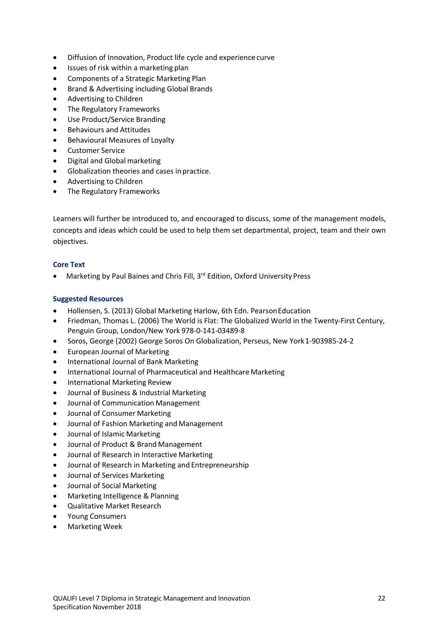- Diffusion of Innovation, Product life cycle and experience curve
- Issues of risk within a marketing plan
- Components of a Strategic Marketing Plan
- Brand & Advertising including Global Brands
- Advertising to Children
- The Regulatory Frameworks
- Use Product/Service Branding
- Behaviours and Attitudes
- Behavioural Measures of Loyalty
- Customer Service
- Digital and Global marketing
- Globalization theories and cases inpractice.
- Advertising to Children
- The Regulatory Frameworks

Learners will further be introduced to, and encouraged to discuss, some of the management models, concepts and ideas which could be used to help them set departmental, project, team and their own objectives.

#### **Core Text**

• Marketing by Paul Baines and Chris Fill, 3<sup>rd</sup> Edition, Oxford University Press

#### **Suggested Resources**

- Hollensen, S. (2013) Global Marketing Harlow, 6th Edn. PearsonEducation
- Friedman, Thomas L. (2006) The World is Flat: The Globalized World in the Twenty-First Century, Penguin Group, London/New York 978-0-141-03489-8
- Soros, George (2002) George Soros On Globalization, Perseus, New York1-903985-24-2
- European Journal of Marketing
- International Journal of Bank Marketing
- International Journal of Pharmaceutical and Healthcare Marketing
- International Marketing Review
- Journal of Business & Industrial Marketing
- Journal of Communication Management
- Journal of Consumer Marketing
- Journal of Fashion Marketing and Management
- Journal of Islamic Marketing
- Journal of Product & Brand Management
- Journal of Research in Interactive Marketing
- Journal of Research in Marketing and Entrepreneurship
- Journal of Services Marketing
- Journal of Social Marketing
- Marketing Intelligence & Planning
- Qualitative Market Research
- Young Consumers
- Marketing Week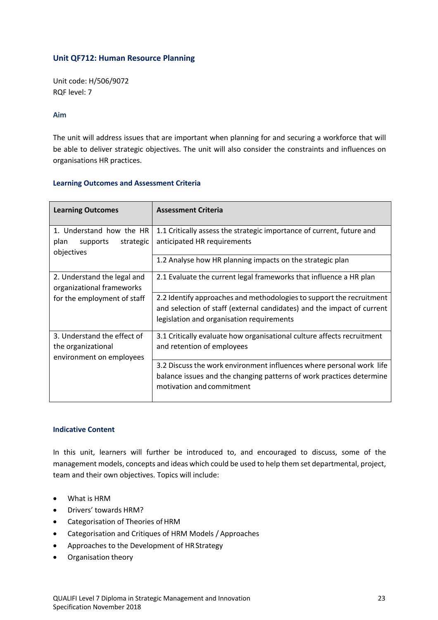# **Unit QF712: Human Resource Planning**

Unit code: H/506/9072 RQF level: 7

## **Aim**

The unit will address issues that are important when planning for and securing a workforce that will be able to deliver strategic objectives. The unit will also consider the constraints and influences on organisations HR practices.

## **Learning Outcomes and Assessment Criteria**

| <b>Learning Outcomes</b>                                                      | <b>Assessment Criteria</b>                                                                                                                                                                  |
|-------------------------------------------------------------------------------|---------------------------------------------------------------------------------------------------------------------------------------------------------------------------------------------|
| 1. Understand how the HR<br>plan<br>supports<br>strategic<br>objectives       | 1.1 Critically assess the strategic importance of current, future and<br>anticipated HR requirements                                                                                        |
|                                                                               | 1.2 Analyse how HR planning impacts on the strategic plan                                                                                                                                   |
| 2. Understand the legal and<br>organizational frameworks                      | 2.1 Evaluate the current legal frameworks that influence a HR plan                                                                                                                          |
| for the employment of staff                                                   | 2.2 Identify approaches and methodologies to support the recruitment<br>and selection of staff (external candidates) and the impact of current<br>legislation and organisation requirements |
| 3. Understand the effect of<br>the organizational<br>environment on employees | 3.1 Critically evaluate how organisational culture affects recruitment<br>and retention of employees                                                                                        |
|                                                                               | 3.2 Discuss the work environment influences where personal work life<br>balance issues and the changing patterns of work practices determine<br>motivation and commitment                   |

#### **Indicative Content**

In this unit, learners will further be introduced to, and encouraged to discuss, some of the management models, concepts and ideas which could be used to help them set departmental, project, team and their own objectives. Topics will include:

- What is HRM
- Drivers' towards HRM?
- Categorisation of Theories of HRM
- Categorisation and Critiques of HRM Models / Approaches
- Approaches to the Development of HR Strategy
- Organisation theory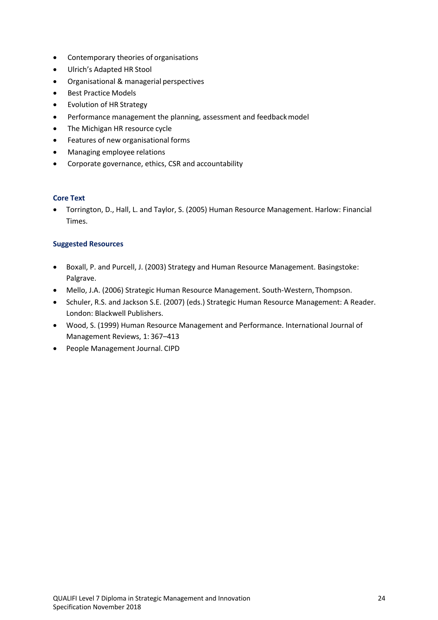- Contemporary theories of organisations
- Ulrich's Adapted HR Stool
- Organisational & managerial perspectives
- Best Practice Models
- Evolution of HR Strategy
- Performance management the planning, assessment and feedback model
- The Michigan HR resource cycle
- Features of new organisational forms
- Managing employee relations
- Corporate governance, ethics, CSR and accountability

#### **Core Text**

• Torrington, D., Hall, L. and Taylor, S. (2005) Human Resource Management. Harlow: Financial Times.

#### **Suggested Resources**

- Boxall, P. and Purcell, J. (2003) Strategy and Human Resource Management. Basingstoke: Palgrave.
- Mello, J.A. (2006) Strategic Human Resource Management. South-Western, Thompson.
- Schuler, R.S. and Jackson S.E. (2007) (eds.) Strategic Human Resource Management: A Reader. London: Blackwell Publishers.
- Wood, S. (1999) Human Resource Management and Performance. International Journal of Management Reviews, 1: 367–413
- People Management Journal. CIPD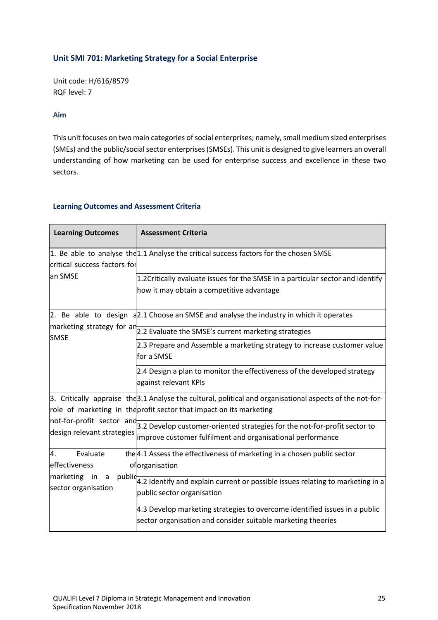# **Unit SMI 701: Marketing Strategy for a Social Enterprise**

Unit code: H/616/8579 RQF level: 7

## **Aim**

This unit focuses on two main categories of social enterprises; namely, small medium sized enterprises (SMEs) and the public/social sector enterprises (SMSEs). This unit is designed to give learners an overall understanding of how marketing can be used for enterprise success and excellence in these two sectors.

## **Learning Outcomes and Assessment Criteria**

| <b>Learning Outcomes</b>                                                              | <b>Assessment Criteria</b>                                                                                                                                                       |
|---------------------------------------------------------------------------------------|----------------------------------------------------------------------------------------------------------------------------------------------------------------------------------|
| critical success factors for                                                          | 1. Be able to analyse the 1.1 Analyse the critical success factors for the chosen SMSE                                                                                           |
| an SMSE                                                                               | 1.2 Critically evaluate issues for the SMSE in a particular sector and identify<br>how it may obtain a competitive advantage                                                     |
|                                                                                       | 2. Be able to design a 2.1 Choose an SMSE and analyse the industry in which it operates                                                                                          |
| <b>SMSE</b>                                                                           | marketing strategy for ar 2.2 Evaluate the SMSE's current marketing strategies                                                                                                   |
|                                                                                       | 2.3 Prepare and Assemble a marketing strategy to increase customer value<br>for a SMSE                                                                                           |
|                                                                                       | 2.4 Design a plan to monitor the effectiveness of the developed strategy<br>against relevant KPIs                                                                                |
| design relevant strategies                                                            | 3. Critically appraise the 3.1 Analyse the cultural, political and organisational aspects of the not-for-<br>role of marketing in the profit sector that impact on its marketing |
|                                                                                       | $ $ not-for-profit sector and 3.2 Develop customer-oriented strategies for the not-for-profit sector to<br>improve customer fulfilment and organisational performance            |
| Evaluate<br>4.<br>effectiveness<br>marketing in<br>public<br>a<br>sector organisation | the 4.1 Assess the effectiveness of marketing in a chosen public sector<br>oforganisation                                                                                        |
|                                                                                       | 4.2 Identify and explain current or possible issues relating to marketing in a<br>public sector organisation                                                                     |
|                                                                                       | 4.3 Develop marketing strategies to overcome identified issues in a public<br>sector organisation and consider suitable marketing theories                                       |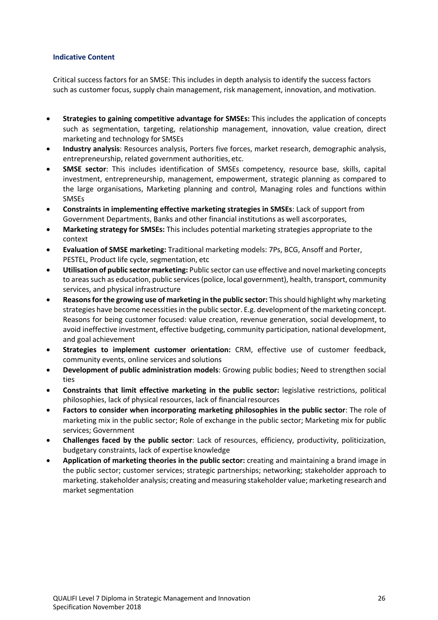#### **Indicative Content**

Critical success factors for an SMSE: This includes in depth analysis to identify the success factors such as customer focus, supply chain management, risk management, innovation, and motivation.

- **Strategies to gaining competitive advantage for SMSEs:** This includes the application of concepts such as segmentation, targeting, relationship management, innovation, value creation, direct marketing and technology for SMSEs
- **Industry analysis**: Resources analysis, Porters five forces, market research, demographic analysis, entrepreneurship, related government authorities, etc.
- **SMSE sector**: This includes identification of SMSEs competency, resource base, skills, capital investment, entrepreneurship, management, empowerment, strategic planning as compared to the large organisations, Marketing planning and control, Managing roles and functions within **SMSEs**
- **Constraints in implementing effective marketing strategies in SMSEs**: Lack of support from Government Departments, Banks and other financial institutions as well ascorporates,
- **Marketing strategy for SMSEs:** This includes potential marketing strategies appropriate to the context
- **Evaluation of SMSE marketing:** Traditional marketing models: 7Ps, BCG, Ansoff and Porter, PESTEL, Product life cycle, segmentation, etc
- **Utilisation of public sector marketing:** Public sector can use effective and novel marketing concepts to areas such as education, public services (police, local government), health, transport, community services, and physical infrastructure
- **Reasons for the growing use of marketing in the public sector:** This should highlight why marketing strategies have become necessities in the public sector. E.g. development of the marketing concept. Reasons for being customer focused: value creation, revenue generation, social development, to avoid ineffective investment, effective budgeting, community participation, national development, and goal achievement
- **Strategies to implement customer orientation:** CRM, effective use of customer feedback, community events, online services and solutions
- **Development of public administration models**: Growing public bodies; Need to strengthen social ties
- **Constraints that limit effective marketing in the public sector:** legislative restrictions, political philosophies, lack of physical resources, lack of financialresources
- **Factors to consider when incorporating marketing philosophies in the public sector**: The role of marketing mix in the public sector; Role of exchange in the public sector; Marketing mix for public services; Government
- **Challenges faced by the public sector**: Lack of resources, efficiency, productivity, politicization, budgetary constraints, lack of expertise knowledge
- **Application of marketing theories in the public sector:** creating and maintaining a brand image in the public sector; customer services; strategic partnerships; networking; stakeholder approach to marketing. stakeholder analysis; creating and measuring stakeholder value; marketing research and market segmentation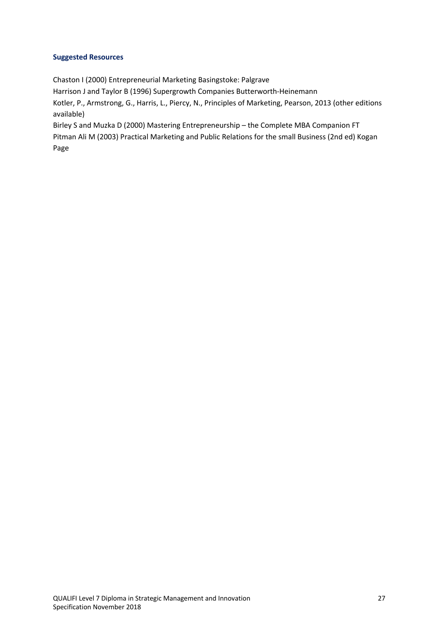# **Suggested Resources**

Chaston I (2000) Entrepreneurial Marketing Basingstoke: Palgrave

Harrison J and Taylor B (1996) Supergrowth Companies Butterworth-Heinemann

Kotler, P., Armstrong, G., Harris, L., Piercy, N., Principles of Marketing, Pearson, 2013 (other editions available)

Birley S and Muzka D (2000) Mastering Entrepreneurship – the Complete MBA Companion FT Pitman Ali M (2003) Practical Marketing and Public Relations for the small Business (2nd ed) Kogan Page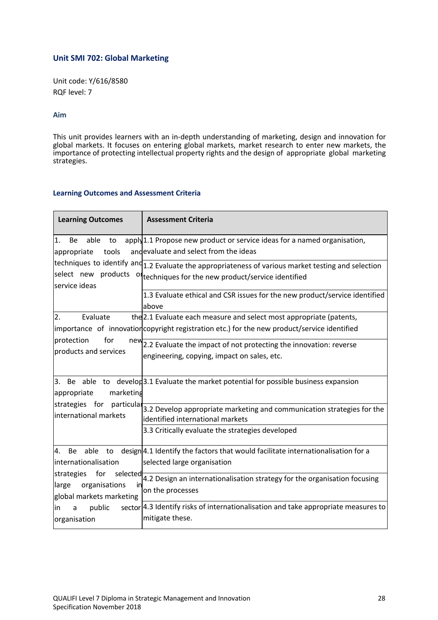# **Unit SMI 702: Global Marketing**

Unit code: Y/616/8580 RQF level: 7

#### **Aim**

This unit provides learners with an in-depth understanding of marketing, design and innovation for global markets. It focuses on entering global markets, market research to enter new markets, the importance of protecting intellectual property rights and the design of appropriate global marketing strategies.

#### **Learning Outcomes and Assessment Criteria**

| <b>Learning Outcomes</b>                                                                                                                                                             | <b>Assessment Criteria</b>                                                                                                                                                        |
|--------------------------------------------------------------------------------------------------------------------------------------------------------------------------------------|-----------------------------------------------------------------------------------------------------------------------------------------------------------------------------------|
| 1.<br><b>Be</b><br>able<br>to<br>tools<br>appropriate                                                                                                                                | apply 1.1 Propose new product or service ideas for a named organisation,<br>andevaluate and select from the ideas                                                                 |
| service ideas                                                                                                                                                                        | techniques to identify and $1.2$ Evaluate the appropriateness of various market testing and selection<br>select new products of techniques for the new product/service identified |
|                                                                                                                                                                                      | 1.3 Evaluate ethical and CSR issues for the new product/service identified<br>above                                                                                               |
| 2.<br>Evaluate<br>protection<br>for<br>new<br>products and services                                                                                                                  | the 2.1 Evaluate each measure and select most appropriate (patents,<br>importance of innovation copyright registration etc.) for the new product/service identified               |
|                                                                                                                                                                                      | 2.2 Evaluate the impact of not protecting the innovation: reverse<br>engineering, copying, impact on sales, etc.                                                                  |
| marketing<br>appropriate<br>strategies for particular<br>international markets                                                                                                       | 3. Be able to develop 3.1 Evaluate the market potential for possible business expansion                                                                                           |
|                                                                                                                                                                                      | 3.2 Develop appropriate marketing and communication strategies for the<br>identified international markets                                                                        |
|                                                                                                                                                                                      | 3.3 Critically evaluate the strategies developed                                                                                                                                  |
| 4.<br><b>Be</b><br>able to<br>internationalisation<br>for<br>strategies<br>selected<br>organisations<br>large<br>in<br>global markets marketing<br>public<br>in<br>a<br>organisation | design 4.1 Identify the factors that would facilitate internationalisation for a<br>selected large organisation                                                                   |
|                                                                                                                                                                                      | 4.2 Design an internationalisation strategy for the organisation focusing<br>on the processes                                                                                     |
|                                                                                                                                                                                      | sector 4.3 Identify risks of internationalisation and take appropriate measures to<br>mitigate these.                                                                             |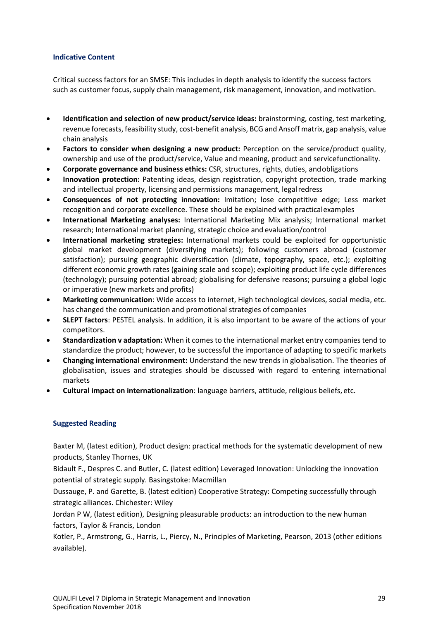#### **Indicative Content**

Critical success factors for an SMSE: This includes in depth analysis to identify the success factors such as customer focus, supply chain management, risk management, innovation, and motivation.

- **Identification and selection of new product/service ideas:** brainstorming, costing, test marketing, revenue forecasts, feasibility study, cost-benefit analysis, BCG and Ansoff matrix, gap analysis, value chain analysis
- **Factors to consider when designing a new product:** Perception on the service/product quality, ownership and use of the product/service, Value and meaning, product and servicefunctionality.
- **Corporate governance and business ethics:** CSR, structures, rights, duties, andobligations
- **Innovation protection:** Patenting ideas, design registration, copyright protection, trade marking and intellectual property, licensing and permissions management, legalredress
- **Consequences of not protecting innovation:** Imitation; lose competitive edge; Less market recognition and corporate excellence. These should be explained with practicalexamples
- **International Marketing analyses:** International Marketing Mix analysis; International market research; International market planning, strategic choice and evaluation/control
- **International marketing strategies:** International markets could be exploited for opportunistic global market development (diversifying markets); following customers abroad (customer satisfaction); pursuing geographic diversification (climate, topography, space, etc.); exploiting different economic growth rates (gaining scale and scope); exploiting product life cycle differences (technology); pursuing potential abroad; globalising for defensive reasons; pursuing a global logic or imperative (new markets and profits)
- **Marketing communication**: Wide access to internet, High technological devices, social media, etc. has changed the communication and promotional strategies of companies
- **SLEPT factors**: PESTEL analysis. In addition, it is also important to be aware of the actions of your competitors.
- **Standardization v adaptation:** When it comes to the international market entry companies tend to standardize the product; however, to be successful the importance of adapting to specific markets
- **Changing international environment:** Understand the new trends in globalisation. The theories of globalisation, issues and strategies should be discussed with regard to entering international markets
- **Cultural impact on internationalization**: language barriers, attitude, religious beliefs, etc.

#### **Suggested Reading**

Baxter M, (latest edition), Product design: practical methods for the systematic development of new products, Stanley Thornes, UK

Bidault F., Despres C. and Butler, C. (latest edition) Leveraged Innovation: Unlocking the innovation potential of strategic supply. Basingstoke: Macmillan

Dussauge, P. and Garette, B. (latest edition) Cooperative Strategy: Competing successfully through strategic alliances. Chichester: Wiley

Jordan P W, (latest edition), Designing pleasurable products: an introduction to the new human factors, Taylor & Francis, London

Kotler, P., Armstrong, G., Harris, L., Piercy, N., Principles of Marketing, Pearson, 2013 (other editions available).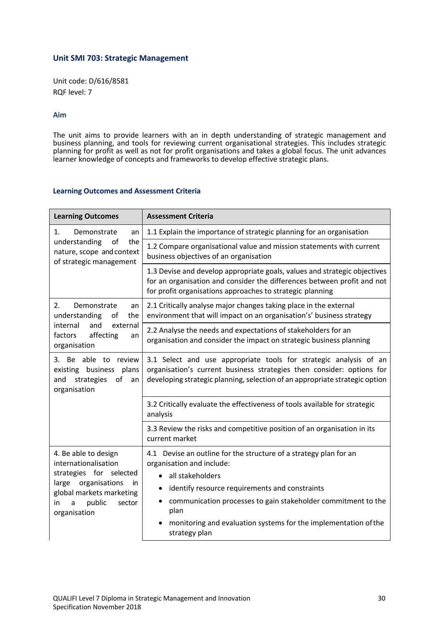#### **Unit SMI 703: Strategic Management**

Unit code: D/616/8581 RQF level: 7

#### **Aim**

The unit aims to provide learners with an in depth understanding of strategic management and business planning, and tools for reviewing current organisational strategies. This includes strategic planning for profit as well as not for profit organisations and takes a global focus. The unit advances learner knowledge of concepts and frameworks to develop effective strategic plans.

#### **Learning Outcomes and Assessment Criteria**

| <b>Learning Outcomes</b>                                                                                                                                                          | <b>Assessment Criteria</b>                                                                                                                                                                                                                                                                                                                     |  |  |
|-----------------------------------------------------------------------------------------------------------------------------------------------------------------------------------|------------------------------------------------------------------------------------------------------------------------------------------------------------------------------------------------------------------------------------------------------------------------------------------------------------------------------------------------|--|--|
| 1.<br>Demonstrate<br>an<br>the<br>understanding<br>of<br>nature, scope and context<br>of strategic management                                                                     | 1.1 Explain the importance of strategic planning for an organisation                                                                                                                                                                                                                                                                           |  |  |
|                                                                                                                                                                                   | 1.2 Compare organisational value and mission statements with current<br>business objectives of an organisation                                                                                                                                                                                                                                 |  |  |
|                                                                                                                                                                                   | 1.3 Devise and develop appropriate goals, values and strategic objectives<br>for an organisation and consider the differences between profit and not<br>for profit organisations approaches to strategic planning                                                                                                                              |  |  |
| Demonstrate<br>2.<br>an<br>understanding<br>of<br>the                                                                                                                             | 2.1 Critically analyse major changes taking place in the external<br>environment that will impact on an organisation's' business strategy                                                                                                                                                                                                      |  |  |
| internal<br>and<br>external<br>factors<br>affecting<br>an<br>organisation                                                                                                         | 2.2 Analyse the needs and expectations of stakeholders for an<br>organisation and consider the impact on strategic business planning                                                                                                                                                                                                           |  |  |
| 3. Be able to review<br>existing business<br>plans<br>of<br>strategies<br>and<br>an<br>organisation                                                                               | 3.1 Select and use appropriate tools for strategic analysis of an<br>organisation's current business strategies then consider: options for<br>developing strategic planning, selection of an appropriate strategic option                                                                                                                      |  |  |
|                                                                                                                                                                                   | 3.2 Critically evaluate the effectiveness of tools available for strategic<br>analysis                                                                                                                                                                                                                                                         |  |  |
|                                                                                                                                                                                   | 3.3 Review the risks and competitive position of an organisation in its<br>current market                                                                                                                                                                                                                                                      |  |  |
| 4. Be able to design<br>internationalisation<br>strategies for selected<br>large organisations<br>in.<br>global markets marketing<br>public<br>sector<br>in.<br>a<br>organisation | 4.1 Devise an outline for the structure of a strategy plan for an<br>organisation and include:<br>all stakeholders<br>$\bullet$<br>identify resource requirements and constraints<br>communication processes to gain stakeholder commitment to the<br>plan<br>monitoring and evaluation systems for the implementation of the<br>strategy plan |  |  |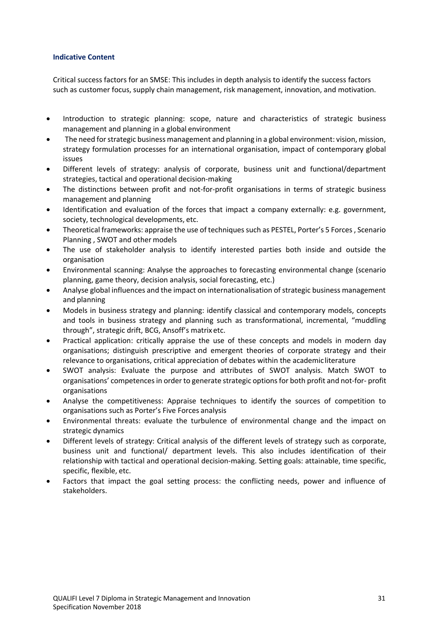#### **Indicative Content**

Critical success factors for an SMSE: This includes in depth analysis to identify the success factors such as customer focus, supply chain management, risk management, innovation, and motivation.

- Introduction to strategic planning: scope, nature and characteristics of strategic business management and planning in a global environment
- The need for strategic business management and planning in a global environment: vision, mission, strategy formulation processes for an international organisation, impact of contemporary global issues
- Different levels of strategy: analysis of corporate, business unit and functional/department strategies, tactical and operational decision-making
- The distinctions between profit and not-for-profit organisations in terms of strategic business management and planning
- Identification and evaluation of the forces that impact a company externally: e.g. government, society, technological developments, etc.
- Theoretical frameworks: appraise the use of techniques such as PESTEL, Porter's 5 Forces , Scenario Planning , SWOT and other models
- The use of stakeholder analysis to identify interested parties both inside and outside the organisation
- Environmental scanning: Analyse the approaches to forecasting environmental change (scenario planning, game theory, decision analysis, social forecasting, etc.)
- Analyse global influences and the impact on internationalisation of strategic business management and planning
- Models in business strategy and planning: identify classical and contemporary models, concepts and tools in business strategy and planning such as transformational, incremental, "muddling through", strategic drift, BCG, Ansoff's matrix etc.
- Practical application: critically appraise the use of these concepts and models in modern day organisations; distinguish prescriptive and emergent theories of corporate strategy and their relevance to organisations, critical appreciation of debates within the academicliterature
- SWOT analysis: Evaluate the purpose and attributes of SWOT analysis. Match SWOT to organisations' competences in order to generate strategic options for both profit and not-for- profit organisations
- Analyse the competitiveness: Appraise techniques to identify the sources of competition to organisations such as Porter's Five Forces analysis
- Environmental threats: evaluate the turbulence of environmental change and the impact on strategic dynamics
- Different levels of strategy: Critical analysis of the different levels of strategy such as corporate, business unit and functional/ department levels. This also includes identification of their relationship with tactical and operational decision-making. Setting goals: attainable, time specific, specific, flexible, etc.
- Factors that impact the goal setting process: the conflicting needs, power and influence of stakeholders.